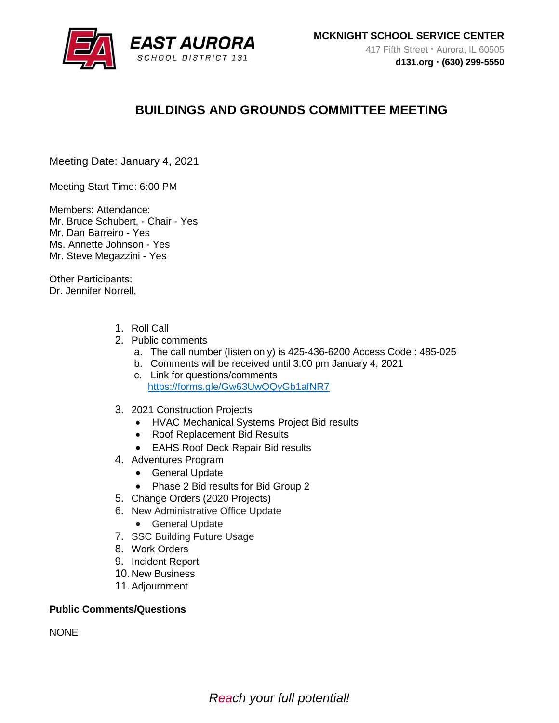

# **BUILDINGS AND GROUNDS COMMITTEE MEETING**

Meeting Date: January 4, 2021

Meeting Start Time: 6:00 PM

Members: Attendance: Mr. Bruce Schubert, - Chair - Yes Mr. Dan Barreiro - Yes Ms. Annette Johnson - Yes Mr. Steve Megazzini - Yes

Other Participants: Dr. Jennifer Norrell,

- 1. Roll Call
- 2. Public comments
	- a. The call number (listen only) is 425-436-6200 Access Code : 485-025
	- b. Comments will be received until 3:00 pm January 4, 2021
	- c. Link for questions/comments <https://forms.gle/Gw63UwQQyGb1afNR7>
- 3. 2021 Construction Projects
	- HVAC Mechanical Systems Project Bid results
	- Roof Replacement Bid Results
	- EAHS Roof Deck Repair Bid results
- 4. Adventures Program
	- **•** General Update
	- Phase 2 Bid results for Bid Group 2
- 5. Change Orders (2020 Projects)
- 6. New Administrative Office Update
	- General Update
- 7. SSC Building Future Usage
- 8. Work Orders
- 9. Incident Report
- 10. New Business
- 11.Adjournment

## **Public Comments/Questions**

**NONE**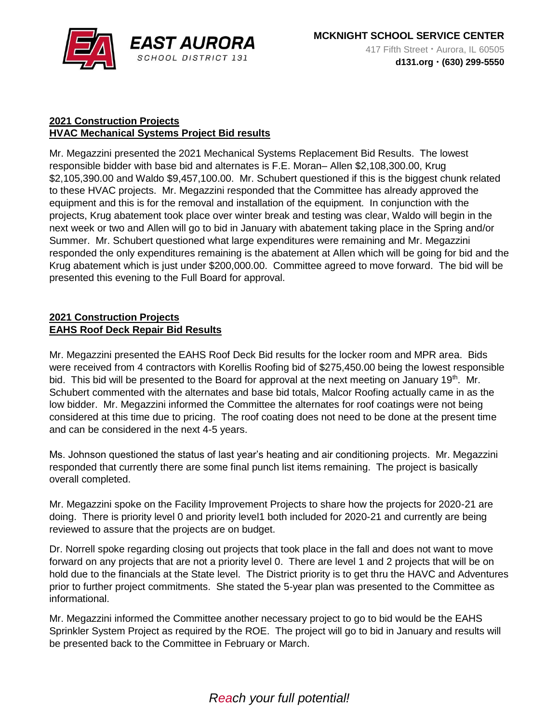

#### **2021 Construction Projects HVAC Mechanical Systems Project Bid results**

Mr. Megazzini presented the 2021 Mechanical Systems Replacement Bid Results. The lowest responsible bidder with base bid and alternates is F.E. Moran– Allen \$2,108,300.00, Krug \$2,105,390.00 and Waldo \$9,457,100.00. Mr. Schubert questioned if this is the biggest chunk related to these HVAC projects. Mr. Megazzini responded that the Committee has already approved the equipment and this is for the removal and installation of the equipment. In conjunction with the projects, Krug abatement took place over winter break and testing was clear, Waldo will begin in the next week or two and Allen will go to bid in January with abatement taking place in the Spring and/or Summer. Mr. Schubert questioned what large expenditures were remaining and Mr. Megazzini responded the only expenditures remaining is the abatement at Allen which will be going for bid and the Krug abatement which is just under \$200,000.00. Committee agreed to move forward. The bid will be presented this evening to the Full Board for approval.

#### **2021 Construction Projects EAHS Roof Deck Repair Bid Results**

Mr. Megazzini presented the EAHS Roof Deck Bid results for the locker room and MPR area. Bids were received from 4 contractors with Korellis Roofing bid of \$275,450.00 being the lowest responsible bid. This bid will be presented to the Board for approval at the next meeting on January 19<sup>th</sup>. Mr. Schubert commented with the alternates and base bid totals, Malcor Roofing actually came in as the low bidder. Mr. Megazzini informed the Committee the alternates for roof coatings were not being considered at this time due to pricing. The roof coating does not need to be done at the present time and can be considered in the next 4-5 years.

Ms. Johnson questioned the status of last year's heating and air conditioning projects. Mr. Megazzini responded that currently there are some final punch list items remaining. The project is basically overall completed.

Mr. Megazzini spoke on the Facility Improvement Projects to share how the projects for 2020-21 are doing. There is priority level 0 and priority level1 both included for 2020-21 and currently are being reviewed to assure that the projects are on budget.

Dr. Norrell spoke regarding closing out projects that took place in the fall and does not want to move forward on any projects that are not a priority level 0. There are level 1 and 2 projects that will be on hold due to the financials at the State level. The District priority is to get thru the HAVC and Adventures prior to further project commitments. She stated the 5-year plan was presented to the Committee as informational.

Mr. Megazzini informed the Committee another necessary project to go to bid would be the EAHS Sprinkler System Project as required by the ROE. The project will go to bid in January and results will be presented back to the Committee in February or March.

# *Reach your full potential!*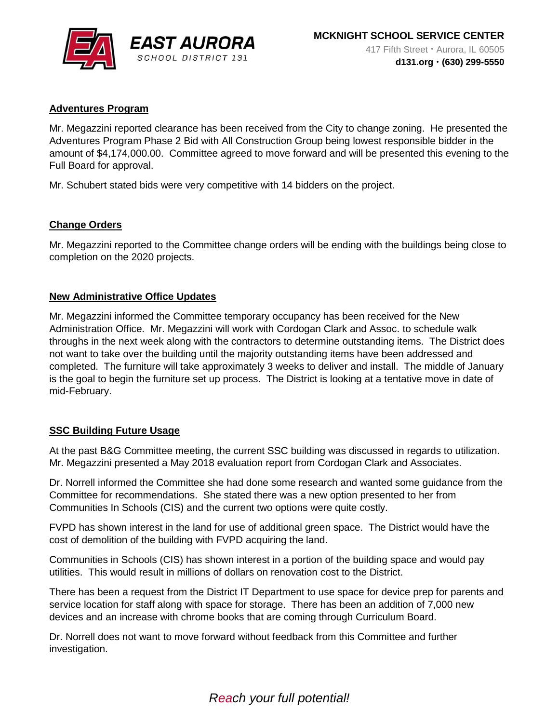

## **Adventures Program**

Mr. Megazzini reported clearance has been received from the City to change zoning. He presented the Adventures Program Phase 2 Bid with All Construction Group being lowest responsible bidder in the amount of \$4,174,000.00. Committee agreed to move forward and will be presented this evening to the Full Board for approval.

Mr. Schubert stated bids were very competitive with 14 bidders on the project.

#### **Change Orders**

Mr. Megazzini reported to the Committee change orders will be ending with the buildings being close to completion on the 2020 projects.

#### **New Administrative Office Updates**

Mr. Megazzini informed the Committee temporary occupancy has been received for the New Administration Office. Mr. Megazzini will work with Cordogan Clark and Assoc. to schedule walk throughs in the next week along with the contractors to determine outstanding items. The District does not want to take over the building until the majority outstanding items have been addressed and completed. The furniture will take approximately 3 weeks to deliver and install. The middle of January is the goal to begin the furniture set up process. The District is looking at a tentative move in date of mid-February.

#### **SSC Building Future Usage**

At the past B&G Committee meeting, the current SSC building was discussed in regards to utilization. Mr. Megazzini presented a May 2018 evaluation report from Cordogan Clark and Associates.

Dr. Norrell informed the Committee she had done some research and wanted some guidance from the Committee for recommendations. She stated there was a new option presented to her from Communities In Schools (CIS) and the current two options were quite costly.

FVPD has shown interest in the land for use of additional green space. The District would have the cost of demolition of the building with FVPD acquiring the land.

Communities in Schools (CIS) has shown interest in a portion of the building space and would pay utilities. This would result in millions of dollars on renovation cost to the District.

There has been a request from the District IT Department to use space for device prep for parents and service location for staff along with space for storage. There has been an addition of 7,000 new devices and an increase with chrome books that are coming through Curriculum Board.

Dr. Norrell does not want to move forward without feedback from this Committee and further investigation.

## *Reach your full potential!*